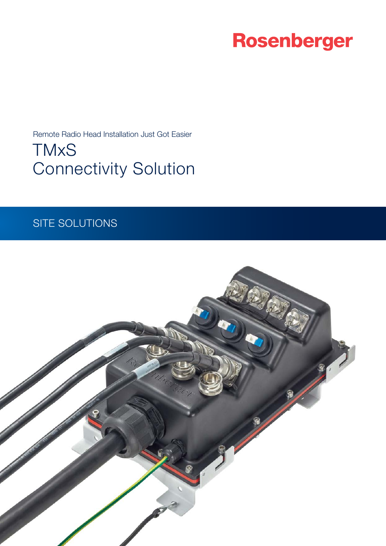# Rosenberger

Remote Radio Head Installation Just Got Easier

**TMxS** Connectivity Solution

### SITE SOLUTIONS

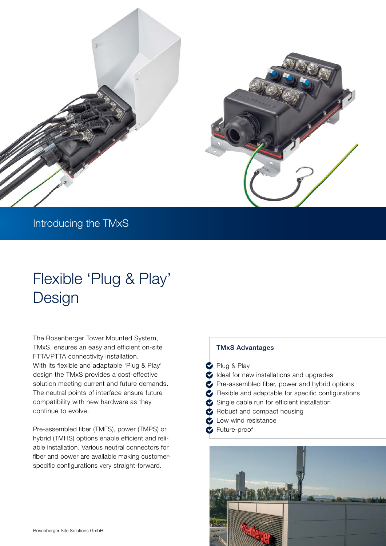

### Introducing the TMxS

## Flexible 'Plug & Play' Design

The Rosenberger Tower Mounted System, TMxS, ensures an easy and efficient on-site FTTA/PTTA connectivity installation. With its flexible and adaptable 'Plug & Play' design the TMxS provides a cost-effective solution meeting current and future demands. The neutral points of interface ensure future compatibility with new hardware as they continue to evolve.

Pre-assembled fiber (TMFS), power (TMPS) or hybrid (TMHS) options enable efficient and reliable installation. Various neutral connectors for fiber and power are available making customerspecific configurations very straight-forward.

### TMxS Advantages

Plug & Play

deal for new installations and upgrades Pre-assembled fiber, power and hybrid options Flexible and adaptable for specific configurations Single cable run for efficient installation Robust and compact housing **C** Low wind resistance

**C** Future-proof

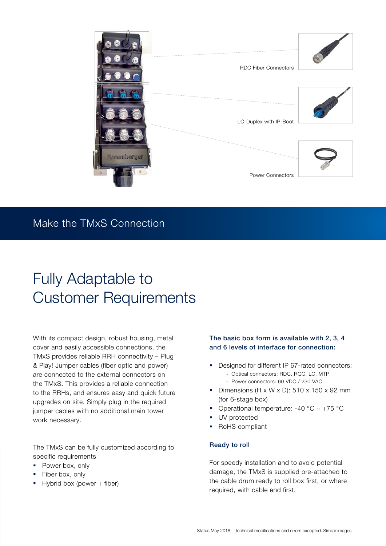

### Make the TMxS Connection

## Fully Adaptable to Customer Requirements

With its compact design, robust housing, metal cover and easily accessible connections, the TMxS provides reliable RRH connectivity – Plug & Play! Jumper cables (fiber optic and power) are connected to the external connectors on the TMxS. This provides a reliable connection to the RRHs, and ensures easy and quick future upgrades on site. Simply plug in the required jumper cables with no additional main tower work necessary.

The TMxS can be fully customized according to specific requirements

- Power box, only
- Fiber box, only
- § Hybrid box (power + fiber)

### The basic box form is available with 2, 3, 4 and 6 levels of interface for connection:

- Designed for different IP 67-rated connectors: - Optical connectors: RDC, RQC, LC, MTP
	-
	- Power connectors: 60 VDC / 230 VAC
- Dimensions (H x W x D):  $510 \times 150 \times 92$  mm (for 6-stage box)
- Operational temperature: -40  $^{\circ}$ C ~ +75  $^{\circ}$ C
- § UV protected
- RoHS compliant

#### Ready to roll

For speedy installation and to avoid potential damage, the TMxS is supplied pre-attached to the cable drum ready to roll box first, or where required, with cable end first.